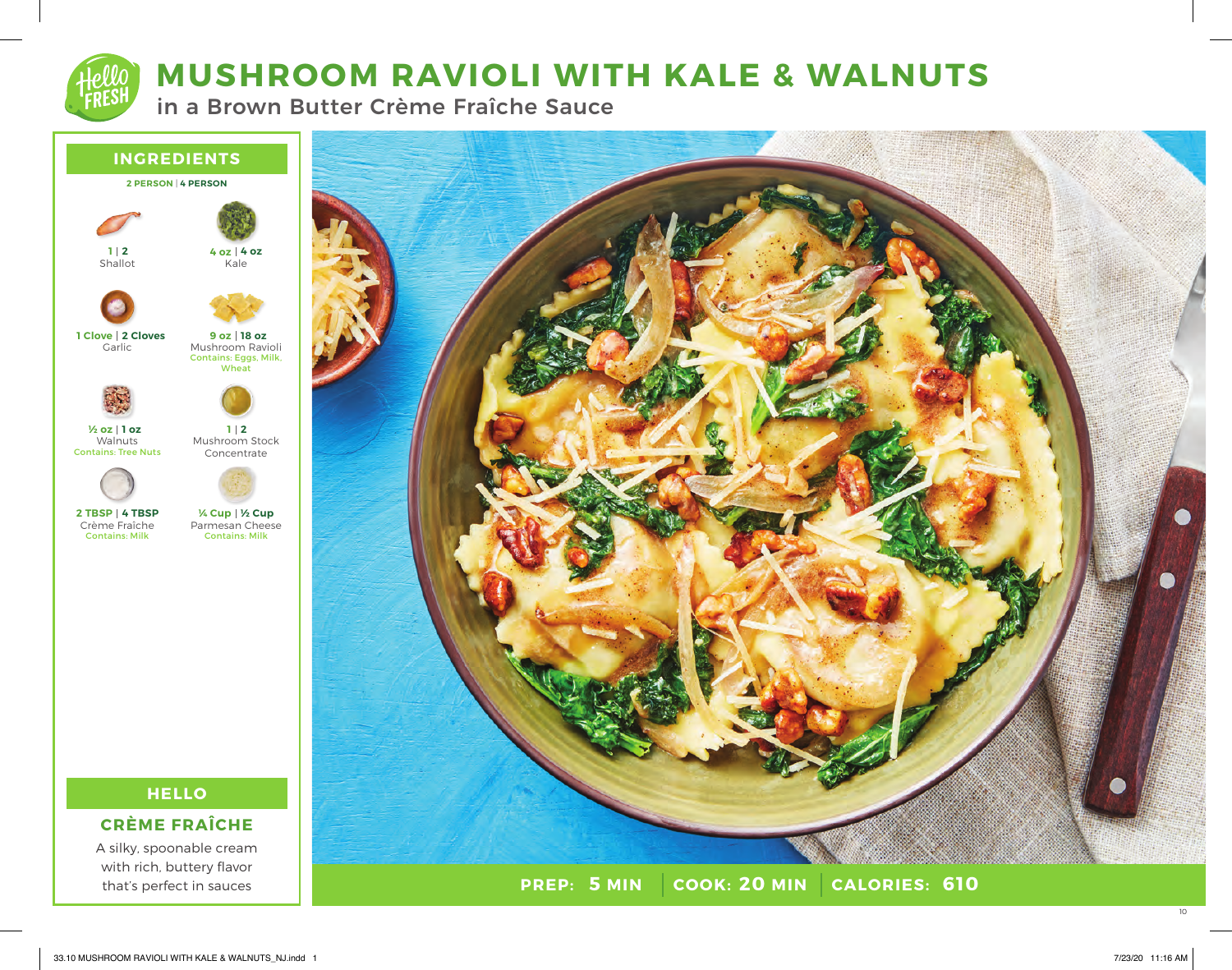# **MUSHROOM RAVIOLI WITH KALE & WALNUTS**

in a Brown Butter Crème Fraîche Sauce





**PREP: 5 MIN | COOK: 20 MIN 5 MIN 20 MIN 610**

A silky, spoonable cream with rich, buttery flavor that's perfect in sauces

10